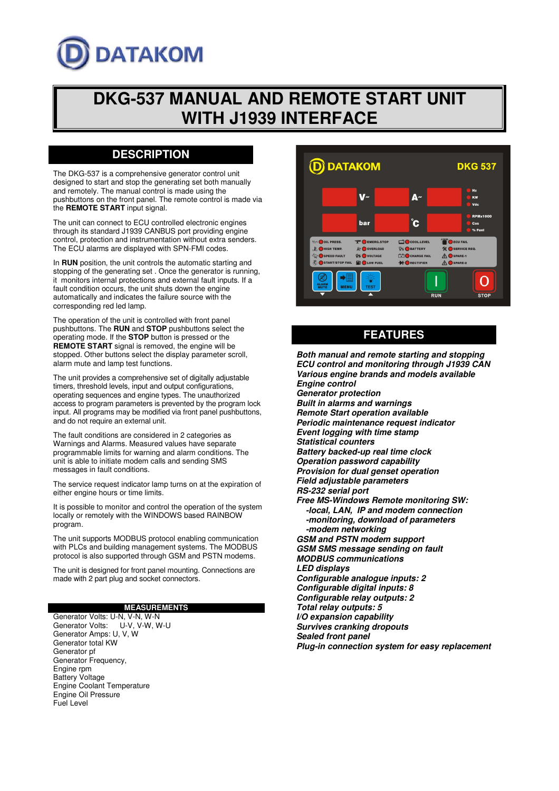# **DATAKOM**

## **DKG-537 MANUAL AND REMOTE START UNIT WITH J1939 INTERFACE**

## **DESCRIPTION**

The DKG-537 is a comprehensive generator control unit designed to start and stop the generating set both manually and remotely. The manual control is made using the pushbuttons on the front panel. The remote control is made via the **REMOTE START** input signal.

The unit can connect to ECU controlled electronic engines through its standard J1939 CANBUS port providing engine control, protection and instrumentation without extra senders. The ECU alarms are displayed with SPN-FMI codes.

In **RUN** position, the unit controls the automatic starting and stopping of the generating set . Once the generator is running, it monitors internal protections and external fault inputs. If a fault condition occurs, the unit shuts down the engine automatically and indicates the failure source with the corresponding red led lamp.

The operation of the unit is controlled with front panel pushbuttons. The **RUN** and **STOP** pushbuttons select the operating mode. If the **STOP** button is pressed or the **REMOTE START** signal is removed, the engine will be stopped. Other buttons select the display parameter scroll, alarm mute and lamp test functions.

The unit provides a comprehensive set of digitally adjustable timers, threshold levels, input and output configurations, operating sequences and engine types. The unauthorized access to program parameters is prevented by the program lock input. All programs may be modified via front panel pushbuttons, and do not require an external unit.

The fault conditions are considered in 2 categories as Warnings and Alarms. Measured values have separate programmable limits for warning and alarm conditions. The unit is able to initiate modem calls and sending SMS messages in fault conditions.

The service request indicator lamp turns on at the expiration of either engine hours or time limits.

It is possible to monitor and control the operation of the system locally or remotely with the WINDOWS based RAINBOW program.

The unit supports MODBUS protocol enabling communication with PLCs and building management systems. The MODBUS protocol is also supported through GSM and PSTN modems.

The unit is designed for front panel mounting. Connections are made with 2 part plug and socket connectors.

#### **MEASUREMENTS**

Generator Volts: U-N, V-N, W-N<br>Generator Volts: U-V, V-W, W U-V, V-W, W-U Generator Amps: U, V, W Generator total KW Generator pf Generator Frequency, Engine rpm Battery Voltage Engine Coolant Temperature Engine Oil Pressure Fuel Level



## **FEATURES**

**Both manual and remote starting and stopping ECU control and monitoring through J1939 CAN Various engine brands and models available Engine control Generator protection Built in alarms and warnings Remote Start operation available Periodic maintenance request indicator Event logging with time stamp Statistical counters Battery backed-up real time clock Operation password capability Provision for dual genset operation Field adjustable parameters RS-232 serial port Free MS-Windows Remote monitoring SW: -local, LAN, IP and modem connection -monitoring, download of parameters -modem networking GSM and PSTN modem support GSM SMS message sending on fault MODBUS communications LED displays Configurable analogue inputs: 2 Configurable digital inputs: 8 Configurable relay outputs: 2 Total relay outputs: 5 I/O expansion capability Survives cranking dropouts Sealed front panel Plug-in connection system for easy replacement**